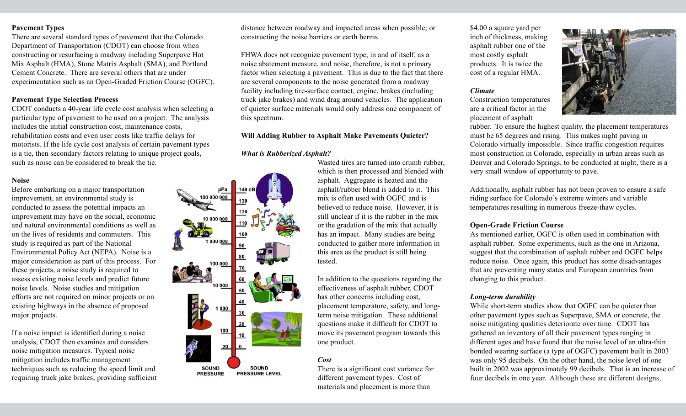### **Pavement Types**

There are several standard types of pavement that the Colorado Department of Transportation (CDOT) can choose from when constructing or resurfacing a roadway including Superpave Hot Mix Asphalt (HMA), Stone Matrix Asphalt (SMA), and Portland Cement Concrete. There are several others that are under experimentation such as an Open-Graded Friction Course (OGFC).

# **Pavement Type Selection Process**

CDOT conducts a 40-year life cycle cost analysis when selecting a particular type of pavement to be used on a project. The analysis includes the initial construction cost, maintenance costs, rehabilitation costs and even user costs like traffic delays for motorists. If the life cycle cost analysis of certain pavement types is a tie, then secondary factors relating to unique project goals, such as noise can be considered to break the tie.

# **Noise**

Before embarking on a major transportation improvement, an environmental study is conducted to assess the potential impacts an improvement may have on the social, economic and natural environmental conditions as well as on the lives of residents and commuters. This study is required as part of the National Environmental Policy Act (NEPA). Noise is a major consideration as part of this process. For these projects, a noise study is required to assess existing noise levels and predict future noise levels. Noise studies and mitigation efforts are not required on minor projects or on existing highways in the absence of proposed major projects.

If a noise impact is identified during a noise analysis, CDOT then examines and considers noise mitigation measures. Typical noise mitigation includes traffic management techniques such as reducing the speed limit and requiring truck jake brakes; providing sufficient

distance between roadway and impacted areas when possible; or constructing the noise barriers or earth berms.

FHWA does not recognize pavement type, in and of itself, as a noise abatement measure, and noise, therefore, is not a primary factor when selecting a pavement. This is due to the fact that there are several components to the noise generated from a roadway facility including tire-surface contact, engine, brakes (including truck jake brakes) and wind drag around vehicles. The application of quieter surface materials would only address one component of this spectrum.

## **Will Adding Rubber to Asphalt Make Pavements Quieter?**

# *What is Rubberized Asphalt?*

000

100

20

**SOUND** PRESSURE LEVEL

**SOUND** 

**PRESSURE** 

Wasted tires are turned into crumb rubber, which is then processed and blended with asphalt. Aggregate is heated and the asphalt/rubber blend is added to it. This mix is often used with OGFC and is believed to reduce noise. However, it is still unclear if it is the rubber in the mix or the gradation of the mix that actually has an impact. Many studies are being conducted to gather more information in this area as the product is still being tested.

In addition to the questions regarding the effectiveness of asphalt rubber, CDOT has other concerns including cost, placement temperature, safety, and longterm noise mitigation. These additional questions make it difficult for CDOT to move its pavement program towards this one product.

## *Cost*

There is a significant cost variance for different pavement types. Cost of materials and placement is more than

\$4.00 a square yard per inch of thickness, making asphalt rubber one of the most costly asphalt products. It is twice the cost of a regular HMA.

#### *Climate*

Construction temperatures are a critical factor in the placement of asphalt



rubber. To ensure the highest quality, the placement temperatures must be 65 degrees and rising. This makes night paving in Colorado virtually impossible. Since traffic congestion requires most construction in Colorado, especially in urban areas such as Denver and Colorado Springs, to be conducted at night, there is a very small window of opportunity to pave.

Additionally, asphalt rubber has not been proven to ensure a safe riding surface for Colorado's extreme winters and variable temperatures resulting in numerous freeze-thaw cycles.

#### **Open-Grade Friction Course**

As mentioned earlier, OGFC is often used in combination with asphalt rubber. Some experiments, such as the one in Arizona, suggest that the combination of asphalt rubber and OGFC helps reduce noise. Once again, this product has some disadvantages that are preventing many states and European countries from changing to this product.

## *Long-term durability*

While short-term studies show that OGFC can be quieter than other pavement types such as Superpave, SMA or concrete, the noise mitigating qualities deteriorate over time. CDOT has gathered an inventory of all their pavement types ranging in different ages and have found that the noise level of an ultra-thin bonded wearing surface (a type of OGFC) pavement built in 2003 was only 95 decibels. On the other hand, the noise level of one built in 2002 was approximately 99 decibels. That is an increase of four decibels in one year. Although these are different designs,